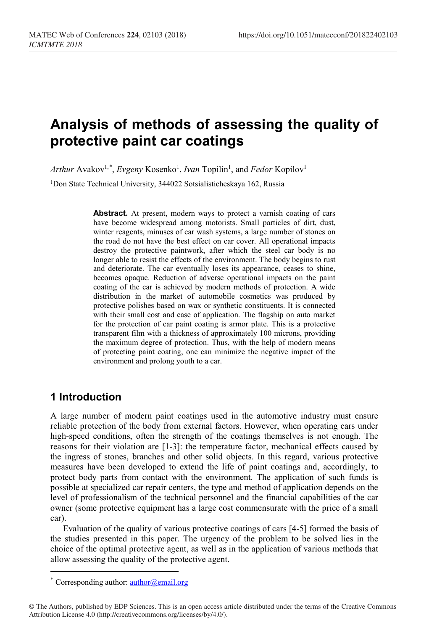# **Analysis of methods of assessing the quality of protective paint car coatings**

Arthur Avakov<sup>1,[\\*](#page-0-0)</sup>, *Evgeny* Kosenko<sup>1</sup>, *Ivan* Topilin<sup>1</sup>, and *Fedor* Kopilov<sup>1</sup>

<sup>1</sup>Don State Technical University, 344022 Sotsialisticheskaya 162, Russia

**Abstract.** At present, modern ways to protect a varnish coating of cars have become widespread among motorists. Small particles of dirt, dust, winter reagents, minuses of car wash systems, a large number of stones on the road do not have the best effect on car cover. All operational impacts destroy the protective paintwork, after which the steel car body is no longer able to resist the effects of the environment. The body begins to rust and deteriorate. The car eventually loses its appearance, ceases to shine, becomes opaque. Reduction of adverse operational impacts on the paint coating of the car is achieved by modern methods of protection. A wide distribution in the market of automobile cosmetics was produced by protective polishes based on wax or synthetic constituents. It is connected with their small cost and ease of application. The flagship on auto market for the protection of car paint coating is armor plate. This is a protective transparent film with a thickness of approximately 100 microns, providing the maximum degree of protection. Thus, with the help of modern means of protecting paint coating, one can minimize the negative impact of the environment and prolong youth to a car.

### **1 Introduction**

 $\overline{a}$ 

A large number of modern paint coatings used in the automotive industry must ensure reliable protection of the body from external factors. However, when operating cars under high-speed conditions, often the strength of the coatings themselves is not enough. The reasons for their violation are [1-3]: the temperature factor, mechanical effects caused by the ingress of stones, branches and other solid objects. In this regard, various protective measures have been developed to extend the life of paint coatings and, accordingly, to protect body parts from contact with the environment. The application of such funds is possible at specialized car repair centers, the type and method of application depends on the level of professionalism of the technical personnel and the financial capabilities of the car owner (some protective equipment has a large cost commensurate with the price of a small car).

Evaluation of the quality of various protective coatings of cars [4-5] formed the basis of the studies presented in this paper. The urgency of the problem to be solved lies in the choice of the optimal protective agent, as well as in the application of various methods that allow assessing the quality of the protective agent.

<sup>\*</sup> Corresponding author:  $\frac{author}{a}$ email.org

<span id="page-0-0"></span><sup>©</sup> The Authors, published by EDP Sciences. This is an open access article distributed under the terms of the Creative Commons Attribution License 4.0 (http://creativecommons.org/licenses/by/4.0/).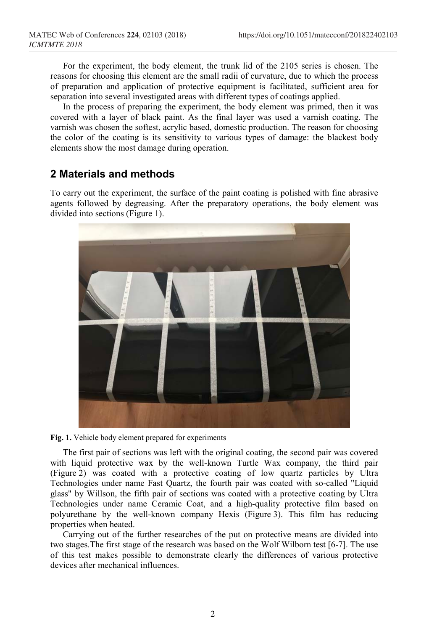For the experiment, the body element, the trunk lid of the 2105 series is chosen. The reasons for choosing this element are the small radii of curvature, due to which the process of preparation and application of protective equipment is facilitated, sufficient area for separation into several investigated areas with different types of coatings applied.

In the process of preparing the experiment, the body element was primed, then it was covered with a layer of black paint. As the final layer was used a varnish coating. The varnish was chosen the softest, acrylic based, domestic production. The reason for choosing the color of the coating is its sensitivity to various types of damage: the blackest body elements show the most damage during operation.

#### **2 Materials and methods**

To carry out the experiment, the surface of the paint coating is polished with fine abrasive agents followed by degreasing. After the preparatory operations, the body element was divided into sections (Figure 1).



**Fig. 1.** Vehicle body element prepared for experiments

The first pair of sections was left with the original coating, the second pair was covered with liquid protective wax by the well-known Turtle Wax company, the third pair (Figure 2) was coated with a protective coating of low quartz particles by Ultra Technologies under name Fast Quartz, the fourth pair was coated with so-called "Liquid glass" by Willson, the fifth pair of sections was coated with a protective coating by Ultra Technologies under name Ceramic Coat, and a high-quality protective film based on polyurethane by the well-known company Hexis (Figure 3). This film has reducing properties when heated.

Carrying out of the further researches of the put on protective means are divided into two stages.The first stage of the research was based on the Wolf Wilborn test [6-7]. The use of this test makes possible to demonstrate clearly the differences of various protective devices after mechanical influences.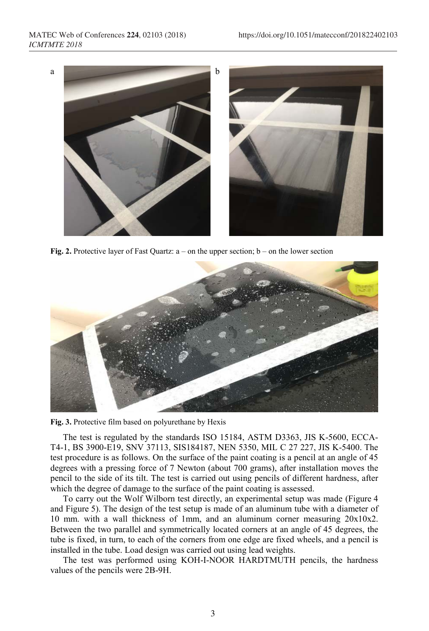

**Fig. 2.** Protective layer of Fast Quartz: a – on the upper section; b – on the lower section



**Fig. 3.** Protective film based on polyurethane by Hexis

The test is regulated by the standards ISO 15184, ASTM D3363, JIS K-5600, ECCA-T4-1, BS 3900-E19, SNV 37113, SIS184187, NEN 5350, MIL C 27 227, JIS K-5400. The test procedure is as follows. On the surface of the paint coating is a pencil at an angle of 45 degrees with a pressing force of 7 Newton (about 700 grams), after installation moves the pencil to the side of its tilt. The test is carried out using pencils of different hardness, after which the degree of damage to the surface of the paint coating is assessed.

To carry out the Wolf Wilborn test directly, an experimental setup was made (Figure 4 and Figure 5). The design of the test setup is made of an aluminum tube with a diameter of 10 mm. with a wall thickness of 1mm, and an aluminum corner measuring 20x10x2. Between the two parallel and symmetrically located corners at an angle of 45 degrees, the tube is fixed, in turn, to each of the corners from one edge are fixed wheels, and a pencil is installed in the tube. Load design was carried out using lead weights.

The test was performed using KOH-I-NOOR HARDTMUTH pencils, the hardness values of the pencils were 2B-9H.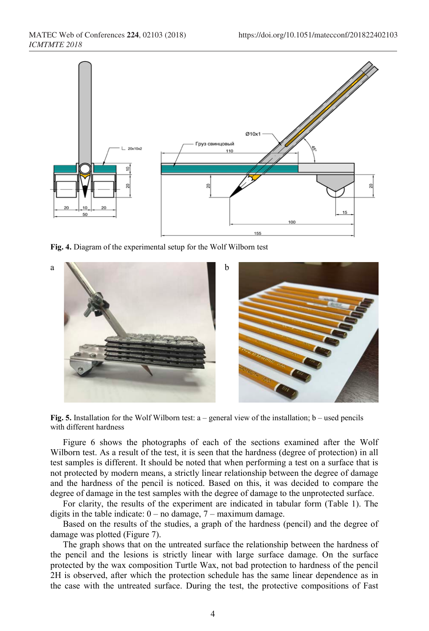

**Fig. 4.** Diagram of the experimental setup for the Wolf Wilborn test



**Fig. 5.** Installation for the Wolf Wilborn test: a – general view of the installation; b – used pencils with different hardness

Figure 6 shows the photographs of each of the sections examined after the Wolf Wilborn test. As a result of the test, it is seen that the hardness (degree of protection) in all test samples is different. It should be noted that when performing a test on a surface that is not protected by modern means, a strictly linear relationship between the degree of damage and the hardness of the pencil is noticed. Based on this, it was decided to compare the degree of damage in the test samples with the degree of damage to the unprotected surface.

For clarity, the results of the experiment are indicated in tabular form (Table 1). The digits in the table indicate:  $0 - no$  damage,  $7 - maximum$  damage.

Based on the results of the studies, a graph of the hardness (pencil) and the degree of damage was plotted (Figure 7).

The graph shows that on the untreated surface the relationship between the hardness of the pencil and the lesions is strictly linear with large surface damage. On the surface protected by the wax composition Turtle Wax, not bad protection to hardness of the pencil 2H is observed, after which the protection schedule has the same linear dependence as in the case with the untreated surface. During the test, the protective compositions of Fast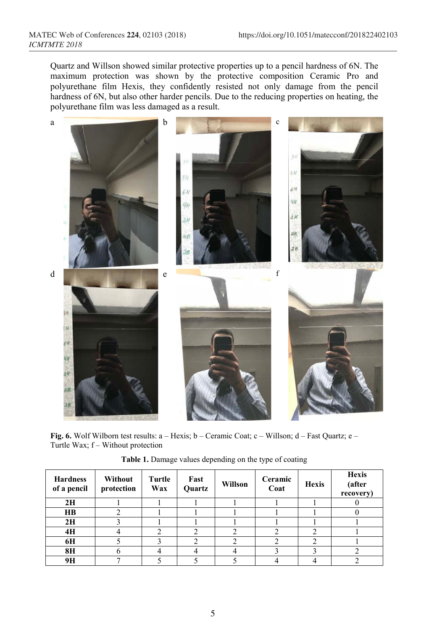Quartz and Willson showed similar protective properties up to a pencil hardness of 6N. The maximum protection was shown by the protective composition Ceramic Pro and polyurethane film Hexis, they confidently resisted not only damage from the pencil hardness of 6N, but also other harder pencils. Due to the reducing properties on heating, the polyurethane film was less damaged as a result.



**Fig. 6.** Wolf Wilborn test results: а – Hexis; b – Ceramic Coat; c – Willson; d – Fast Quartz; e – Turtle Wax; f – Without protection

| <b>Hardness</b><br>of a pencil | Without<br>protection | Turtle<br>Wax | Fast<br>Quartz | Willson | Ceramic<br>Coat | <b>Hexis</b> | <b>Hexis</b><br>(after<br>recovery) |
|--------------------------------|-----------------------|---------------|----------------|---------|-----------------|--------------|-------------------------------------|
| 2H                             |                       |               |                |         |                 |              |                                     |
| $\mathbf{H}\mathbf{B}$         |                       |               |                |         |                 |              |                                     |
| 2H                             |                       |               |                |         |                 |              |                                     |
| 4H                             |                       |               |                |         |                 | ◠            |                                     |
| 6H                             |                       |               |                |         |                 | ◠            |                                     |
| <b>8H</b>                      |                       |               |                |         |                 |              |                                     |
| 9H                             |                       |               |                |         |                 |              |                                     |

**Table 1.** Damage values depending on the type of coating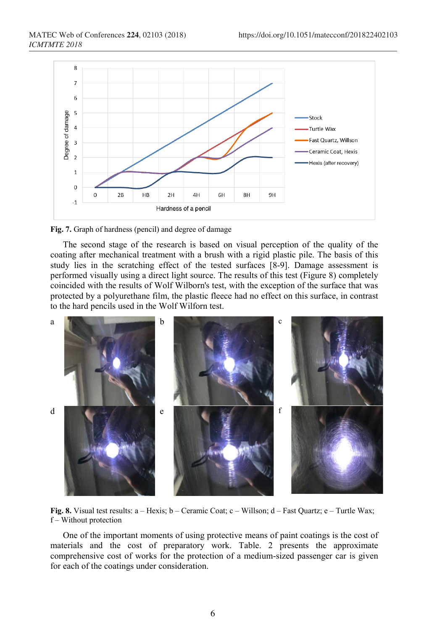

**Fig. 7.** Graph of hardness (pencil) and degree of damage

The second stage of the research is based on visual perception of the quality of the coating after mechanical treatment with a brush with a rigid plastic pile. The basis of this study lies in the scratching effect of the tested surfaces [8-9]. Damage assessment is performed visually using a direct light source. The results of this test (Figure 8) completely coincided with the results of Wolf Wilborn's test, with the exception of the surface that was protected by a polyurethane film, the plastic fleece had no effect on this surface, in contrast to the hard pencils used in the Wolf Wilforn test.



**Fig. 8.** Visual test results: а – Hexis; b – Ceramic Coat; c – Willson; d – Fast Quartz; e – Turtle Wax; f – Without protection

One of the important moments of using protective means of paint coatings is the cost of materials and the cost of preparatory work. Table. 2 presents the approximate comprehensive cost of works for the protection of a medium-sized passenger car is given for each of the coatings under consideration.